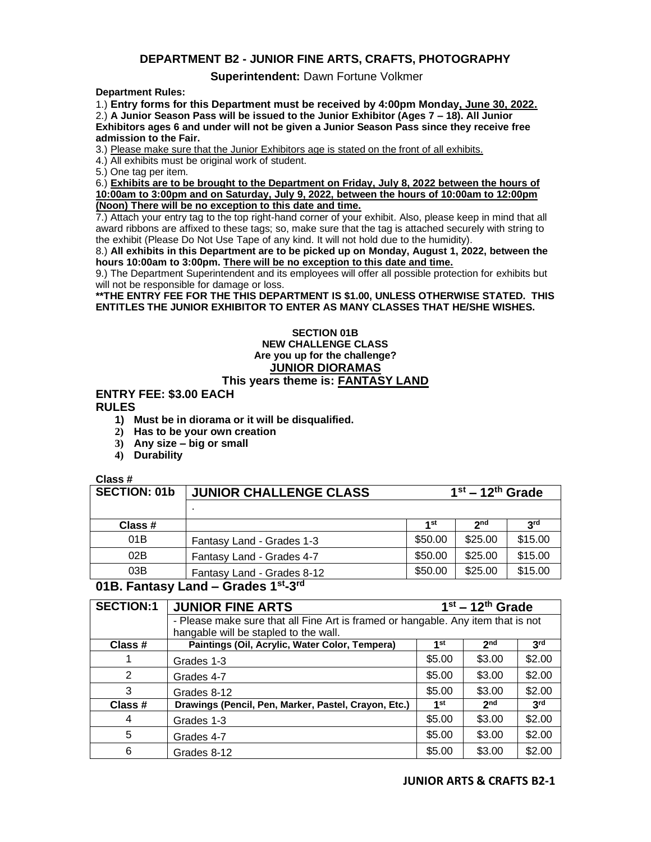## **DEPARTMENT B2 - JUNIOR FINE ARTS, CRAFTS, PHOTOGRAPHY**

### **Superintendent:** Dawn Fortune Volkmer

**Department Rules:**

1.) **Entry forms for this Department must be received by 4:00pm Monday, June 30, 2022.** 2.) **A Junior Season Pass will be issued to the Junior Exhibitor (Ages 7 – 18). All Junior Exhibitors ages 6 and under will not be given a Junior Season Pass since they receive free admission to the Fair.**

3.) Please make sure that the Junior Exhibitors age is stated on the front of all exhibits.

4.) All exhibits must be original work of student.

5.) One tag per item.

6.) **Exhibits are to be brought to the Department on Friday, July 8, 2022 between the hours of 10:00am to 3:00pm and on Saturday, July 9, 2022, between the hours of 10:00am to 12:00pm (Noon) There will be no exception to this date and time.**

7.) Attach your entry tag to the top right-hand corner of your exhibit. Also, please keep in mind that all award ribbons are affixed to these tags; so, make sure that the tag is attached securely with string to the exhibit (Please Do Not Use Tape of any kind. It will not hold due to the humidity).

8.) **All exhibits in this Department are to be picked up on Monday, August 1, 2022, between the hours 10:00am to 3:00pm. There will be no exception to this date and time.**

9.) The Department Superintendent and its employees will offer all possible protection for exhibits but will not be responsible for damage or loss.

**\*\*THE ENTRY FEE FOR THE THIS DEPARTMENT IS \$1.00, UNLESS OTHERWISE STATED. THIS ENTITLES THE JUNIOR EXHIBITOR TO ENTER AS MANY CLASSES THAT HE/SHE WISHES.**

#### **SECTION 01B NEW CHALLENGE CLASS Are you up for the challenge? JUNIOR DIORAMAS This years theme is: FANTASY LAND**

### **ENTRY FEE: \$3.00 EACH RULES**

- **1) Must be in diorama or it will be disqualified.**
- **2) Has to be your own creation**
- **3) Any size – big or small**
- **4) Durability**

### **Class #**

| <b>SECTION: 01b</b> | <b>JUNIOR CHALLENGE CLASS</b>                 | $1st - 12th$ Grade |                 |                 |
|---------------------|-----------------------------------------------|--------------------|-----------------|-----------------|
|                     |                                               |                    |                 |                 |
| Class #             |                                               | 1st                | 2 <sub>nd</sub> | 3 <sup>rd</sup> |
| 01B                 | Fantasy Land - Grades 1-3                     | \$50.00            | \$25.00         | \$15.00         |
| 02B                 | Fantasy Land - Grades 4-7                     | \$50.00            | \$25.00         | \$15.00         |
| 03B                 | Fantasy Land - Grades 8-12<br>استماء المستحدث | \$50.00            | \$25.00         | \$15.00         |

# **01B. Fantasy Land – Grades 1st-3 rd**

| <b>SECTION:1</b> | <b>JUNIOR FINE ARTS</b>                                                          | $\overline{1}$ <sup>st</sup> – 12 <sup>th</sup> Grade |                 |                 |
|------------------|----------------------------------------------------------------------------------|-------------------------------------------------------|-----------------|-----------------|
|                  | - Please make sure that all Fine Art is framed or hangable. Any item that is not |                                                       |                 |                 |
|                  | hangable will be stapled to the wall.                                            |                                                       |                 |                 |
| Class #          | Paintings (Oil, Acrylic, Water Color, Tempera)                                   | 1st                                                   | 2 <sub>nd</sub> | 3 <sup>rd</sup> |
|                  | Grades 1-3                                                                       | \$5.00                                                | \$3.00          | \$2.00          |
| 2                | Grades 4-7                                                                       | \$5.00                                                | \$3.00          | \$2.00          |
| 3                | Grades 8-12                                                                      | \$5.00                                                | \$3.00          | \$2.00          |
| Class #          | Drawings (Pencil, Pen, Marker, Pastel, Crayon, Etc.)                             | 1st                                                   | 2 <sub>nd</sub> | 3 <sup>rd</sup> |
| 4                | Grades 1-3                                                                       | \$5.00                                                | \$3.00          | \$2.00          |
| 5                | Grades 4-7                                                                       | \$5.00                                                | \$3.00          | \$2.00          |
| 6                | Grades 8-12                                                                      | \$5.00                                                | \$3.00          | \$2.00          |

### **JUNIOR ARTS & CRAFTS B2-1**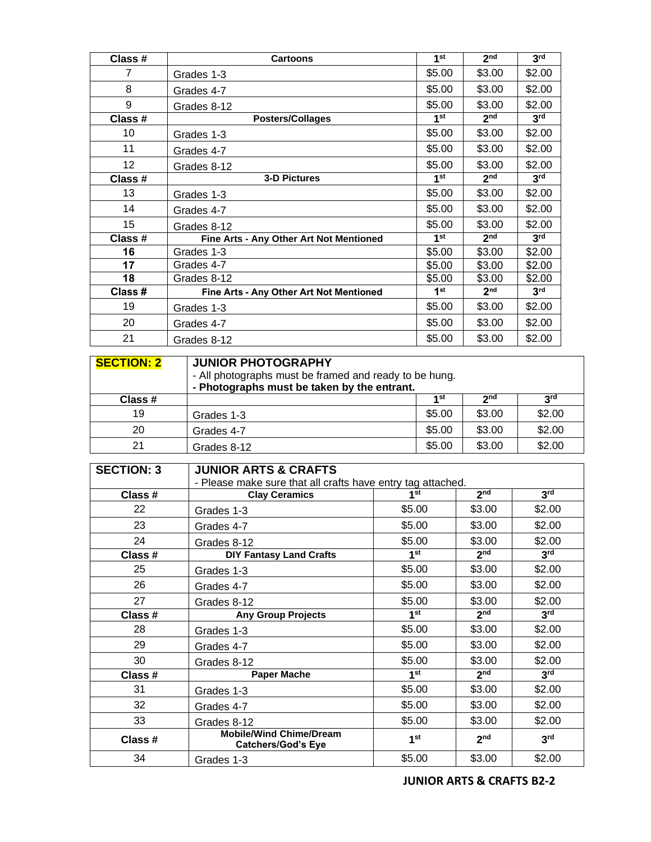| Class # | <b>Cartoons</b>                         | 1 <sup>st</sup> | 2 <sub>nd</sub> | 3 <sup>rd</sup> |
|---------|-----------------------------------------|-----------------|-----------------|-----------------|
| 7       | Grades 1-3                              | \$5.00          | \$3.00          | \$2.00          |
| 8       | Grades 4-7                              | \$5.00          | \$3.00          | \$2.00          |
| 9       | Grades 8-12                             | \$5.00          | \$3.00          | \$2.00          |
| Class # | <b>Posters/Collages</b>                 | 1 <sup>st</sup> | 2 <sub>nd</sub> | 3 <sup>rd</sup> |
| 10      | Grades 1-3                              | \$5.00          | \$3.00          | \$2.00          |
| 11      | Grades 4-7                              | \$5.00          | \$3.00          | \$2.00          |
| 12      | Grades 8-12                             | \$5.00          | \$3.00          | \$2.00          |
| Class # | <b>3-D Pictures</b>                     | 1 <sup>st</sup> | 2 <sub>nd</sub> | 3 <sup>rd</sup> |
| 13      | Grades 1-3                              | \$5.00          | \$3.00          | \$2.00          |
| 14      | Grades 4-7                              | \$5.00          | \$3.00          | \$2.00          |
| 15      | Grades 8-12                             | \$5.00          | \$3.00          | \$2.00          |
| Class # | Fine Arts - Any Other Art Not Mentioned | 1 <sup>st</sup> | 2 <sub>nd</sub> | 3 <sup>rd</sup> |
| 16      | Grades 1-3                              | \$5.00          | \$3.00          | \$2.00          |
| 17      | Grades 4-7                              | \$5.00          | \$3.00          | \$2.00          |
| 18      | Grades 8-12                             | \$5.00          | \$3.00          | \$2.00          |
| Class # | Fine Arts - Any Other Art Not Mentioned | 1 <sup>st</sup> | 2 <sub>nd</sub> | 3 <sup>rd</sup> |
| 19      | Grades 1-3                              | \$5.00          | \$3.00          | \$2.00          |
| 20      | Grades 4-7                              | \$5.00          | \$3.00          | \$2.00          |
| 21      | Grades 8-12                             | \$5.00          | \$3.00          | \$2.00          |

| <b>SECTION: 2</b> | <b>JUNIOR PHOTOGRAPHY</b><br>- All photographs must be framed and ready to be hung.<br>- Photographs must be taken by the entrant. |        |             |            |
|-------------------|------------------------------------------------------------------------------------------------------------------------------------|--------|-------------|------------|
| Class #           |                                                                                                                                    | 4 St   | <b>o</b> nd | <b>Qrd</b> |
| 19                | Grades 1-3                                                                                                                         | \$5.00 | \$3.00      | \$2.00     |
| 20                | Grades 4-7                                                                                                                         | \$5.00 | \$3.00      | \$2.00     |
| 21                | Grades 8-12                                                                                                                        | \$5.00 | \$3.00      | \$2.00     |

| <b>SECTION: 3</b> | <b>JUNIOR ARTS &amp; CRAFTS</b>                             |                 |                 |                 |  |
|-------------------|-------------------------------------------------------------|-----------------|-----------------|-----------------|--|
|                   | - Please make sure that all crafts have entry tag attached. |                 |                 |                 |  |
| Class #           | <b>Clay Ceramics</b>                                        | 1 <sup>st</sup> | 2 <sub>nd</sub> | 3 <sup>rd</sup> |  |
| 22                | Grades 1-3                                                  | \$5.00          | \$3.00          | \$2.00          |  |
| 23                | Grades 4-7                                                  | \$5.00          | \$3.00          | \$2.00          |  |
| 24                | Grades 8-12                                                 | \$5.00          | \$3.00          | \$2.00          |  |
| Class #           | <b>DIY Fantasy Land Crafts</b>                              | 1 <sup>st</sup> | 2 <sub>nd</sub> | 3 <sup>rd</sup> |  |
| 25                | Grades 1-3                                                  | \$5.00          | \$3.00          | \$2.00          |  |
| 26                | Grades 4-7                                                  | \$5.00          | \$3.00          | \$2.00          |  |
| 27                | Grades 8-12                                                 | \$5.00          | \$3.00          | \$2.00          |  |
| Class #           | <b>Any Group Projects</b>                                   | 1 <sup>st</sup> | 2 <sup>nd</sup> | 3 <sup>rd</sup> |  |
| 28                | Grades 1-3                                                  | \$5.00          | \$3.00          | \$2.00          |  |
| 29                | Grades 4-7                                                  | \$5.00          | \$3.00          | \$2.00          |  |
| 30                | Grades 8-12                                                 | \$5.00          | \$3.00          | \$2.00          |  |
| Class #           | <b>Paper Mache</b>                                          | 1 <sup>st</sup> | 2 <sub>nd</sub> | 3 <sup>rd</sup> |  |
| 31                | Grades 1-3                                                  | \$5.00          | \$3.00          | \$2.00          |  |
| 32                | Grades 4-7                                                  | \$5.00          | \$3.00          | \$2.00          |  |
| 33                | Grades 8-12                                                 | \$5.00          | \$3.00          | \$2.00          |  |
| Class #           | <b>Mobile/Wind Chime/Dream</b><br><b>Catchers/God's Eye</b> | 1 <sup>st</sup> | 2 <sub>nd</sub> | 3 <sup>rd</sup> |  |
| 34                | Grades 1-3                                                  | \$5.00          | \$3.00          | \$2.00          |  |

**JUNIOR ARTS & CRAFTS B2-2**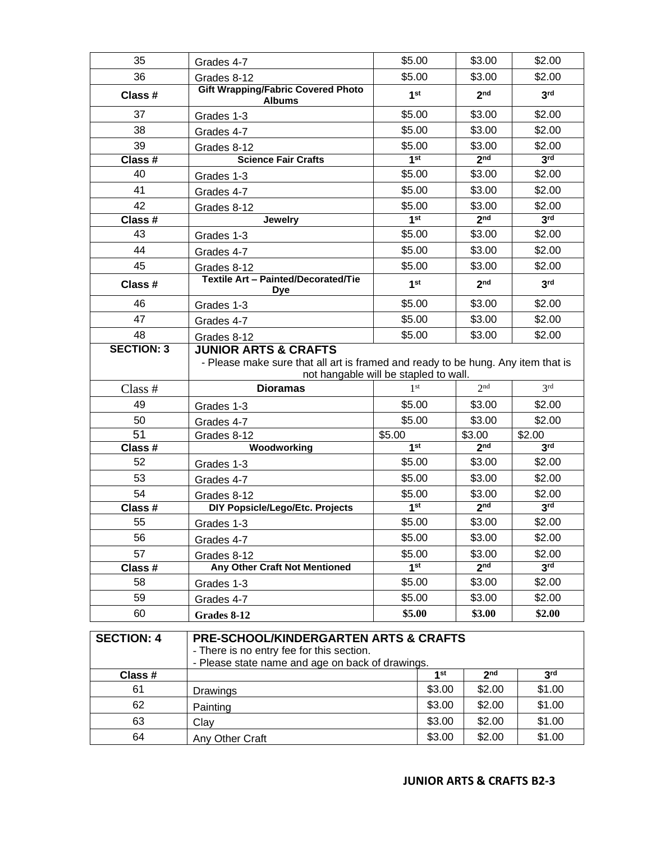| 35                                                                                                                                                                     | Grades 4-7                                                                                                                                                   | \$5.00                    |        | \$3.00                    | \$2.00                    |  |
|------------------------------------------------------------------------------------------------------------------------------------------------------------------------|--------------------------------------------------------------------------------------------------------------------------------------------------------------|---------------------------|--------|---------------------------|---------------------------|--|
| 36                                                                                                                                                                     | Grades 8-12                                                                                                                                                  | \$5.00                    |        | \$3.00                    | \$2.00                    |  |
| Class #                                                                                                                                                                | <b>Gift Wrapping/Fabric Covered Photo</b><br><b>Albums</b>                                                                                                   | 1 <sup>st</sup>           |        | 2 <sup>nd</sup>           | 3 <sup>rd</sup>           |  |
| 37                                                                                                                                                                     | Grades 1-3                                                                                                                                                   | \$5.00                    |        | \$3.00                    | \$2.00                    |  |
| 38                                                                                                                                                                     | Grades 4-7                                                                                                                                                   | \$5.00                    |        | \$3.00                    | \$2.00                    |  |
| 39                                                                                                                                                                     | Grades 8-12                                                                                                                                                  | \$5.00                    |        | \$3.00                    | \$2.00                    |  |
| Class #                                                                                                                                                                | <b>Science Fair Crafts</b>                                                                                                                                   | 1 <sup>st</sup>           |        | 2 <sub>nd</sub>           | 3 <sup>rd</sup>           |  |
| 40                                                                                                                                                                     | Grades 1-3                                                                                                                                                   | \$5.00                    |        | \$3.00                    | \$2.00                    |  |
| 41                                                                                                                                                                     | Grades 4-7                                                                                                                                                   | \$5.00                    |        | \$3.00                    | \$2.00                    |  |
| 42                                                                                                                                                                     | Grades 8-12                                                                                                                                                  | \$5.00                    |        | \$3.00                    | \$2.00                    |  |
| Class #                                                                                                                                                                | <b>Jewelry</b>                                                                                                                                               | 1 <sup>st</sup>           |        | 2 <sub>nd</sub>           | 3 <sup>rd</sup>           |  |
| 43                                                                                                                                                                     | Grades 1-3                                                                                                                                                   | \$5.00                    |        | \$3.00                    | \$2.00                    |  |
| 44                                                                                                                                                                     | Grades 4-7                                                                                                                                                   | \$5.00                    |        | \$3.00                    | \$2.00                    |  |
| 45                                                                                                                                                                     | Grades 8-12                                                                                                                                                  | \$5.00                    |        | \$3.00                    | \$2.00                    |  |
| Class #                                                                                                                                                                | <b>Textile Art - Painted/Decorated/Tie</b><br><b>Dye</b>                                                                                                     | 1 <sup>st</sup>           |        | 2 <sub>nd</sub>           | 3 <sup>rd</sup>           |  |
| 46                                                                                                                                                                     | Grades 1-3                                                                                                                                                   | \$5.00                    |        | \$3.00                    | \$2.00                    |  |
| 47                                                                                                                                                                     | Grades 4-7                                                                                                                                                   | \$5.00                    |        | \$3.00                    | \$2.00                    |  |
| 48                                                                                                                                                                     | Grades 8-12                                                                                                                                                  | \$5.00                    |        | \$3.00                    | \$2.00                    |  |
| <b>SECTION: 3</b>                                                                                                                                                      | <b>JUNIOR ARTS &amp; CRAFTS</b><br>- Please make sure that all art is framed and ready to be hung. Any item that is<br>not hangable will be stapled to wall. |                           |        |                           |                           |  |
| Class $#$                                                                                                                                                              | <b>Dioramas</b>                                                                                                                                              | 1 <sup>st</sup>           |        | 2 <sup>nd</sup>           | 3 <sup>rd</sup>           |  |
| 49                                                                                                                                                                     | Grades 1-3                                                                                                                                                   | \$5.00                    |        | \$3.00                    | \$2.00                    |  |
| 50                                                                                                                                                                     | Grades 4-7                                                                                                                                                   | \$5.00                    |        | \$3.00                    | \$2.00                    |  |
| 51                                                                                                                                                                     | Grades 8-12                                                                                                                                                  | \$5.00<br>1 <sup>st</sup> |        | \$3.00<br>2 <sub>nd</sub> | \$2.00<br>3 <sup>rd</sup> |  |
| Class #<br>52                                                                                                                                                          | Woodworking                                                                                                                                                  |                           |        | \$3.00                    | \$2.00                    |  |
| 53                                                                                                                                                                     | Grades 1-3                                                                                                                                                   | \$5.00                    |        | \$3.00                    | \$2.00                    |  |
| 54                                                                                                                                                                     | Grades 4-7                                                                                                                                                   | \$5.00<br>\$5.00          |        | \$3.00                    | \$2.00                    |  |
| Class #                                                                                                                                                                | Grades 8-12<br>DIY Popsicle/Lego/Etc. Projects                                                                                                               | 1 <sup>st</sup>           |        | 2 <sub>nd</sub>           | 3 <sup>rd</sup>           |  |
| 55                                                                                                                                                                     | Grades 1-3                                                                                                                                                   | \$5.00                    |        | \$3.00                    | \$2.00                    |  |
| 56                                                                                                                                                                     |                                                                                                                                                              |                           |        | \$3.00                    | \$2.00                    |  |
| 57                                                                                                                                                                     | Grades 4-7<br>Grades 8-12                                                                                                                                    | \$5.00<br>\$5.00          |        | \$3.00                    | \$2.00                    |  |
| Class#                                                                                                                                                                 | Any Other Craft Not Mentioned                                                                                                                                | 1 <sup>st</sup>           |        | 2 <sub>nd</sub>           | 3 <sup>rd</sup>           |  |
| 58                                                                                                                                                                     | Grades 1-3                                                                                                                                                   | \$5.00                    |        | \$3.00                    | \$2.00                    |  |
| 59                                                                                                                                                                     | Grades 4-7                                                                                                                                                   | \$5.00                    |        | \$3.00                    | \$2.00                    |  |
| 60                                                                                                                                                                     | Grades 8-12                                                                                                                                                  | \$5.00                    |        | \$3.00                    | \$2.00                    |  |
|                                                                                                                                                                        |                                                                                                                                                              |                           |        |                           |                           |  |
| <b>SECTION: 4</b><br><b>PRE-SCHOOL/KINDERGARTEN ARTS &amp; CRAFTS</b><br>- There is no entry fee for this section.<br>- Please state name and age on back of drawings. |                                                                                                                                                              |                           |        |                           |                           |  |
| Class #                                                                                                                                                                |                                                                                                                                                              | 1 <sup>st</sup>           |        | 2 <sub>nd</sub>           | 3 <sup>rd</sup>           |  |
| 61                                                                                                                                                                     | Drawings                                                                                                                                                     |                           | \$3.00 | \$2.00                    | \$1.00                    |  |
| 62                                                                                                                                                                     | Painting                                                                                                                                                     |                           | \$3.00 | \$2.00                    | \$1.00                    |  |
| 63                                                                                                                                                                     | Clay                                                                                                                                                         |                           | \$3.00 | \$2.00                    | \$1.00                    |  |
| 64                                                                                                                                                                     | Any Other Craft                                                                                                                                              |                           | \$3.00 | \$2.00                    | \$1.00                    |  |